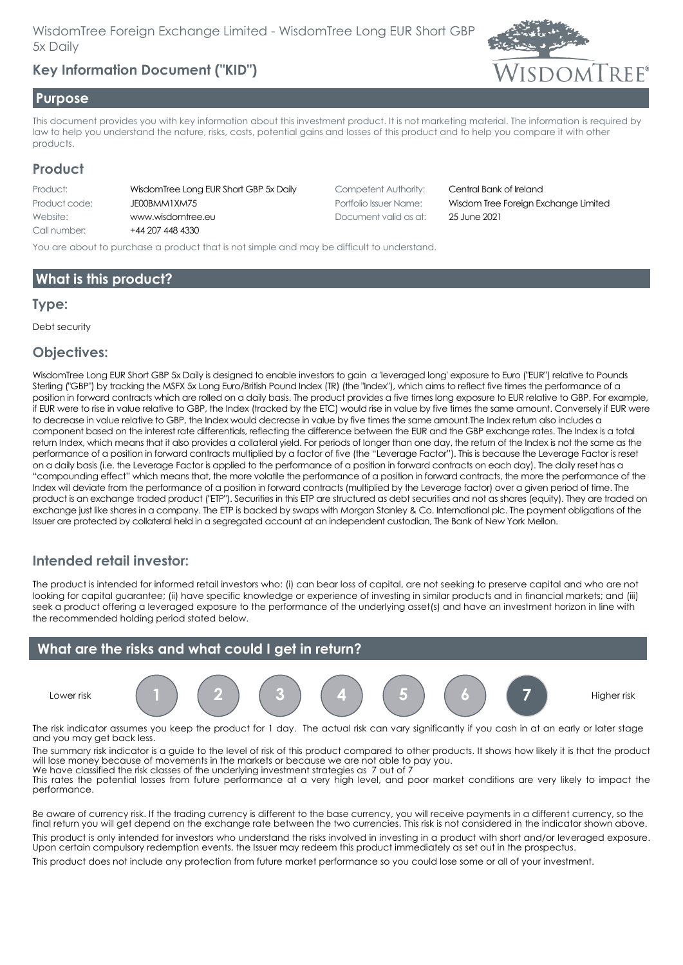# **Key Information Document ("KID")**



#### **Purpose**

This document provides you with key information about this investment product. It is not marketing material. The information is required by law to help you understand the nature, risks, costs, potential gains and losses of this product and to help you compare it with other products.

## **Product**

| Product:      | WisdomTree Long EUR Short GBP 5x Daily |
|---------------|----------------------------------------|
| Product code: | JE00BMM1XM75                           |
| Website:      | www.wisdomtree.eu                      |
| Call number:  | +44 207 448 4330                       |
|               |                                        |

Competent Authority: Central Bank of Ireland Document valid as at: 25 June 2021

Portfolio Issuer Name: **Wisdom Tree Foreign Exchange Limited** 

You are about to purchase a product that is not simple and may be difficult to understand.

## **What is this product?**

### **Type:**

Debt security

## **Objectives:**

WisdomTree Long EUR Short GBP 5x Daily is designed to enable investors to gain a 'leveraged long' exposure to Euro ("EUR") relative to Pounds Sterling ("GBP") by tracking the MSFX 5x Long Euro/British Pound Index (TR) (the "Index"), which aims to reflect five times the performance of a position in forward contracts which are rolled on a daily basis. The product provides a five times long exposure to EUR relative to GBP. For example, if EUR were to rise in value relative to GBP, the Index (tracked by the ETC) would rise in value by five times the same amount. Conversely if EUR were to decrease in value relative to GBP, the Index would decrease in value by five times the same amount.The Index return also includes a component based on the interest rate differentials, reflecting the difference between the EUR and the GBP exchange rates. The Index is a total return Index, which means that it also provides a collateral yield. For periods of longer than one day, the return of the Index is not the same as the performance of a position in forward contracts multiplied by a factor of five (the "Leverage Factor"). This is because the Leverage Factor is reset on a daily basis (i.e. the Leverage Factor is applied to the performance of a position in forward contracts on each day). The daily reset has a "compounding effect" which means that, the more volatile the performance of a position in forward contracts, the more the performance of the Index will deviate from the performance of a position in forward contracts (multiplied by the Leverage factor) over a given period of time. The product is an exchange traded product ("ETP"). Securities in this ETP are structured as debt securities and not as shares (equity). They are traded on exchange just like shares in a company. The ETP is backed by swaps with Morgan Stanley & Co. International plc. The payment obligations of the Issuer are protected by collateral held in a segregated account at an independent custodian, The Bank of New York Mellon.

## **Intended retail investor:**

The product is intended for informed retail investors who: (i) can bear loss of capital, are not seeking to preserve capital and who are not looking for capital guarantee; (ii) have specific knowledge or experience of investing in similar products and in financial markets; and (iii) seek a product offering a leveraged exposure to the performance of the underlying asset(s) and have an investment horizon in line with the recommended holding period stated below.

## **What are the risks and what could I get in return?**





The risk indicator assumes you keep the product for 1 day. The actual risk can vary significantly if you cash in at an early or later stage and you may get back less.

The summary risk indicator is a guide to the level of risk of this product compared to other products. It shows how likely it is that the product will lose money because of movements in the markets or because we are not able to pay you. We have classified the risk classes of the underlying investment strategies as 7 out of 7

This rates the potential losses from future performance at a very high level, and poor market conditions are very likely to impact the performance.

Be aware of currency risk. If the trading currency is different to the base currency, you will receive payments in a different currency, so the final return you will get depend on the exchange rate between the two currencies. This risk is not considered in the indicator shown above.

This product is only intended for investors who understand the risks involved in investing in a product with short and/or leveraged exposure. Upon certain compulsory redemption events, the Issuer may redeem this product immediately as set out in the prospectus.

This product does not include any protection from future market performance so you could lose some or all of your investment.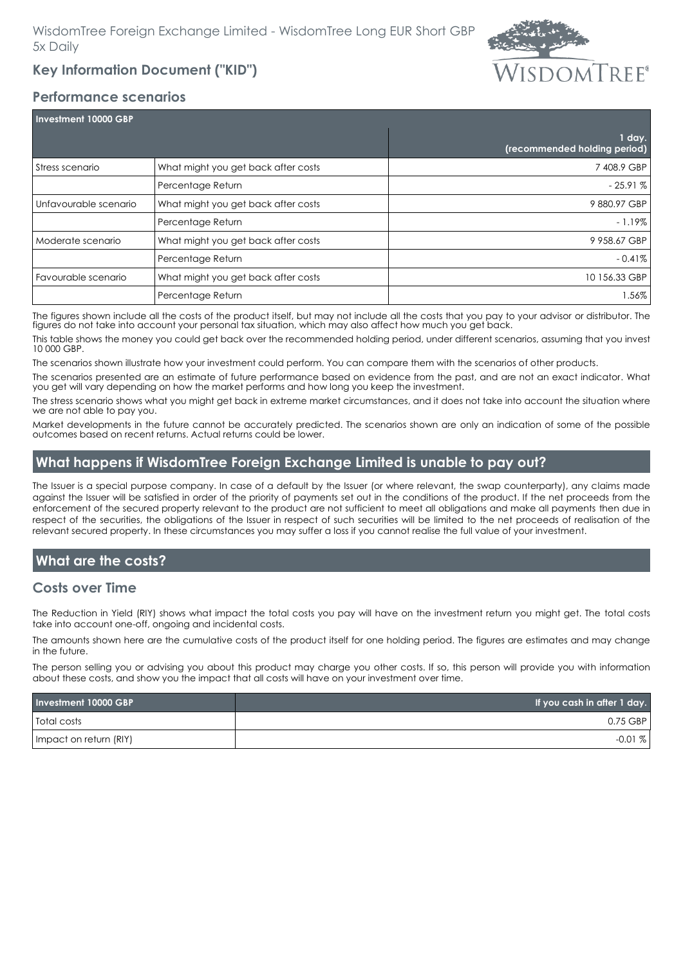## **Key Information Document ("KID")**



#### **Performance scenarios**

| Investment 10000 GBP  |                                     |                                          |
|-----------------------|-------------------------------------|------------------------------------------|
|                       |                                     | $1$ day.<br>(recommended holding period) |
| Stress scenario       | What might you get back after costs | 7408.9 GBP                               |
|                       | Percentage Return                   | $-25.91%$                                |
| Unfavourable scenario | What might you get back after costs | 9880.97 GBP                              |
|                       | Percentage Return                   | $-1.19\%$                                |
| Moderate scenario     | What might you get back after costs | 9 958.67 GBP                             |
|                       | Percentage Return                   | $-0.41\%$                                |
| Favourable scenario   | What might you get back after costs | 10 156.33 GBP                            |
|                       | Percentage Return                   | .56%                                     |

The figures shown include all the costs of the product itself, but may not include all the costs that you pay to your advisor or distributor. The figures do not take into account your personal tax situation, which may also affect how much you get back.

This table shows the money you could get back over the recommended holding period, under different scenarios, assuming that you invest 10 000 GBP.

The scenarios shown illustrate how your investment could perform. You can compare them with the scenarios of other products.

The scenarios presented are an estimate of future performance based on evidence from the past, and are not an exact indicator. What you get will vary depending on how the market performs and how long you keep the investment.

The stress scenario shows what you might get back in extreme market circumstances, and it does not take into account the situation where we are not able to pay you.

Market developments in the future cannot be accurately predicted. The scenarios shown are only an indication of some of the possible outcomes based on recent returns. Actual returns could be lower.

## **What happens if WisdomTree Foreign Exchange Limited is unable to pay out?**

The Issuer is a special purpose company. In case of a default by the Issuer (or where relevant, the swap counterparty), any claims made against the Issuer will be satisfied in order of the priority of payments set out in the conditions of the product. If the net proceeds from the enforcement of the secured property relevant to the product are not sufficient to meet all obligations and make all payments then due in respect of the securities, the obligations of the Issuer in respect of such securities will be limited to the net proceeds of realisation of the relevant secured property. In these circumstances you may suffer a loss if you cannot realise the full value of your investment.

## **What are the costs?**

## **Costs over Time**

The Reduction in Yield (RIY) shows what impact the total costs you pay will have on the investment return you might get. The total costs take into account one-off, ongoing and incidental costs.

The amounts shown here are the cumulative costs of the product itself for one holding period. The figures are estimates and may change in the future.

The person selling you or advising you about this product may charge you other costs. If so, this person will provide you with information about these costs, and show you the impact that all costs will have on your investment over time.

| Investment 10000 GBP   | If you cash in after 1 day. |
|------------------------|-----------------------------|
| <b>Total costs</b>     | 0.75 GBP                    |
| Impact on return (RIY) | $-0.01\%$                   |